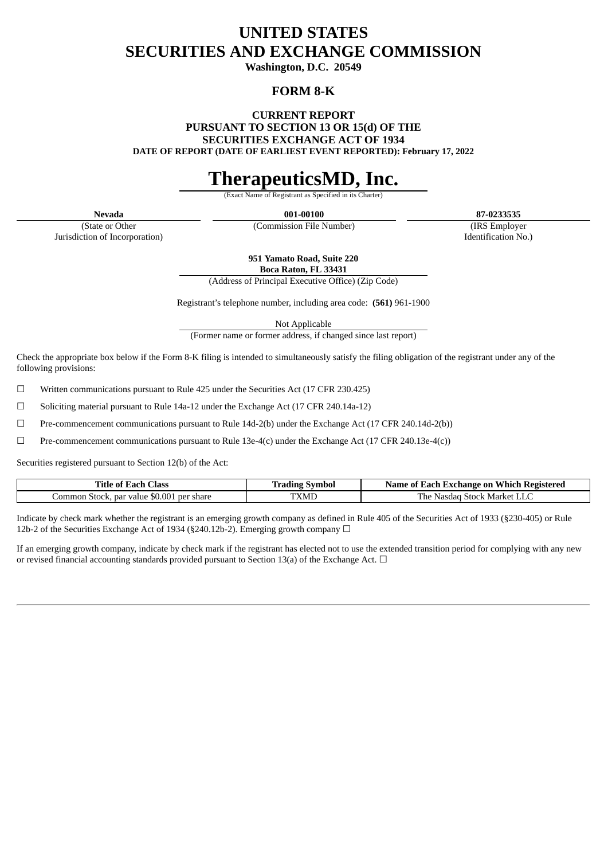# **UNITED STATES SECURITIES AND EXCHANGE COMMISSION**

**Washington, D.C. 20549**

# **FORM 8-K**

**CURRENT REPORT**

**PURSUANT TO SECTION 13 OR 15(d) OF THE**

**SECURITIES EXCHANGE ACT OF 1934**

**DATE OF REPORT (DATE OF EARLIEST EVENT REPORTED): February 17, 2022**

# **TherapeuticsMD, Inc.**

**Exact Name of Registrant** 

(State or Other Jurisdiction of Incorporation)

**Nevada 001-00100 87-0233535**

(Commission File Number) (IRS Employer Identification No.)

**951 Yamato Road, Suite 220**

**Boca Raton, FL 33431** (Address of Principal Executive Office) (Zip Code)

Registrant's telephone number, including area code: **(561)** 961-1900

Not Applicable

(Former name or former address, if changed since last report)

Check the appropriate box below if the Form 8-K filing is intended to simultaneously satisfy the filing obligation of the registrant under any of the following provisions:

 $\Box$  Written communications pursuant to Rule 425 under the Securities Act (17 CFR 230.425)

 $\Box$  Soliciting material pursuant to Rule 14a-12 under the Exchange Act (17 CFR 240.14a-12)

 $\Box$  Pre-commencement communications pursuant to Rule 14d-2(b) under the Exchange Act (17 CFR 240.14d-2(b))

 $□$  Pre-commencement communications pursuant to Rule 13e-4(c) under the Exchange Act (17 CFR 240.13e-4(c))

Securities registered pursuant to Section 12(b) of the Act:

| <b>Class</b><br>Title of<br>Each                                    | Symbol<br>radıng * | Which<br>Registered<br>⊀ach<br>Name of<br>ı Exchange on- |
|---------------------------------------------------------------------|--------------------|----------------------------------------------------------|
| $\Omega$<br>.ommon<br>par value<br>. per share<br>Stock.<br>ີງ∪.∪ປ⊥ | <b>TXMD</b>        | The<br><b>Stock</b><br>. Market<br>-Nasdag<br>LLU.       |

Indicate by check mark whether the registrant is an emerging growth company as defined in Rule 405 of the Securities Act of 1933 (§230-405) or Rule 12b-2 of the Securities Exchange Act of 1934 (§240.12b-2). Emerging growth company  $\Box$ 

If an emerging growth company, indicate by check mark if the registrant has elected not to use the extended transition period for complying with any new or revised financial accounting standards provided pursuant to Section 13(a) of the Exchange Act.  $\Box$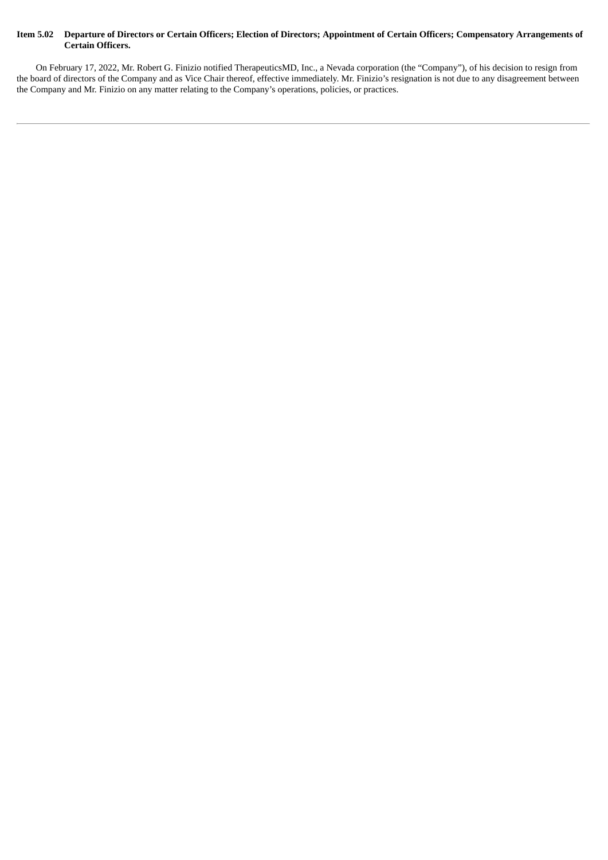#### Item 5.02 Departure of Directors or Certain Officers; Election of Directors; Appointment of Certain Officers; Compensatory Arrangements of **Certain Officers.**

On February 17, 2022, Mr. Robert G. Finizio notified TherapeuticsMD, Inc., a Nevada corporation (the "Company"), of his decision to resign from the board of directors of the Company and as Vice Chair thereof, effective immediately. Mr. Finizio's resignation is not due to any disagreement between the Company and Mr. Finizio on any matter relating to the Company's operations, policies, or practices.